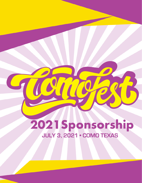# 2021 Sponsorship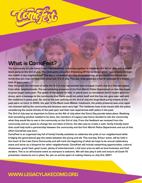

## **What is ComoFest?**

**The community of Lake Como Texas has a tradition of coming together to celebrate the 4th of July, with a kickoff block party on the 3rd of July. The block party consisted of blocking off Horne Street which runs directly through the middle of the neighborhood. This day is celebrated as a day of homecoming, as you would see friends and family that you may not have seen since last 3rd of July. This day really gives you a feel of nostalgia of a festive time of years past.** 

**Over the years the narrative of what the 3rd of July represented was changed, in part due to a few bad apples from other neighborhoods. The overwhelming presence of the Fort Worth Police Department on this day began to grow larger every year. The uptick of manpower on foot, in patrol cars, on horseback and in recent years by drone, sent a message to the community that Como could not police itself and this has not gone over well with the residents in years past. So, due to the over policing on the 3rd of July the large block party crowds of the past were no more. In 2020, the year of the Black Lives Matter movement, the police presence was once again not received well by the community and tensions were very high. The residents have trust issues with the police considering the social climate of the past year and their own experiences with police in the past.** 

**The 3rd of July was as important to Como as the 4th of July when the Como Day parade takes place. Realizing that something positive needed to be done, the members of Legacy Lake Como decided to ask the community what they would like to see in the community on the 3rd of July. From the feedback we received from the community and our quest to change the narrative of Como, the idea was to create a safe, family friendly event that could help build a partnership between the community and the Fort Worth Police Department and out of this effort ComoFest was born.** 

**ComoFest is an organized day full of family friendly activities to celebrate the pride of our neighborhood while bridging the generational gap the exists between the young and old. This one-day, 8-hour event, will be held in the heart of the Lake Como Community and will mark the beginning of what we hope to be annual celebratory event and serve as a blueprint for other neighborhoods. ComoFest will include networking opportunities, cultural showcases, great food, good music, plenty of entertainment, a kid zone area as well as local business and food vendors. This is an all-inclusive event so everyone is welcome. We will also play it safe and ensure all Covid-19 preventive measures are in place. So, join us and be apart of making history on July 3rd, 2021.**

## **WWW.LEGACYLAKECOMO.ORG**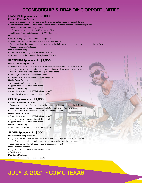## **SPONSORSHIP & BRANDING OPPORTUNITIES**

#### **DIAMOND Sponsorship: \$5,000**

#### **Pre-event Marketing Exposure**

- Banners to appear on official website for the event as well as on social media platforms.
- Prominent logo placement on all donated media partner print ads, mailings and marketing/e-mail marketing materials pertaining to event.
- Company mention in all donated Radio spots (TBD)
- Double page 4-color Ad placement in KRAVE Magazine.

#### **On-site Brand Exposure**

- Prominent signage at registration and stage area.
- Opportunities for Exhibition Area (space open for discussion)
- Company video to be placed on all Legacy social media platforms (material provided by sponsor; limited to 1min.)
- Access to attendees' database.

#### **Post-Event Marketing**

- 6 months of advertising in KRAVE Magazine, 4CP
- 12 months advertising on ComoFest/Legacy Website

#### **PLATINUM Sponsorship: \$2,500**

#### **Pre-event Marketing Exposure**

- Banners to appear on official website for the event as well as on social media platforms
- Logo placement on all donated media partner print ads, mailings and marketing/e-mail marketing materials pertaining to event (print and website)
- Company mention in all donated Radio spots
- Full page 4-color Ad placement in KRAVE Magazine

#### **On-site Brand Exposure**

- Signage at event check-in table.
- Opportunities for Exhibition Area (space TBD)

#### **Post-Event Marketing**

- 4 months of advertising in KRAVE Magazine, 4CP
- 6 months advertising on ComoFest/Legacy Website.

#### **GOLD Sponsorship: \$1,000**

#### **Pre-event Marketing Exposure**

- Banners to appear on official website for the event as well as on social media platforms.
- Logo placement on all ads, mailings and marketing materials pertaining to event.
- Logo placement in KRAVE Magazine ComoFest announcement ads.

#### **On-site Brand Exposure**

- 2 months of advertising in KRAVE Magazine, 4CP
- Logo placement on banner at event check-in table.
- Opportunities for Exhibition Area (space TBD)

#### **Post-Event Marketing**

• One month of advertising in KRAVE Magazine, 4CP

#### **SILVER Sponsorship: \$500**

#### **Pre-event Marketing Exposure**

- Logo to appear on official website for the event, and on all Legacy social media platforms.
- Logo Placement on all ads, mailings and marketing materials pertaining to event
- Logo placement in KRAVE Magazine ComoFest announcement ads.

#### **On-site Market Exposure**

• Logo placement on banner at event check-in table.

• Exhibit space.

#### **Post-Event Marketing**

• One month advertising on Legacy website.

# **JULY 3, 2021 • COMO TEXAS**